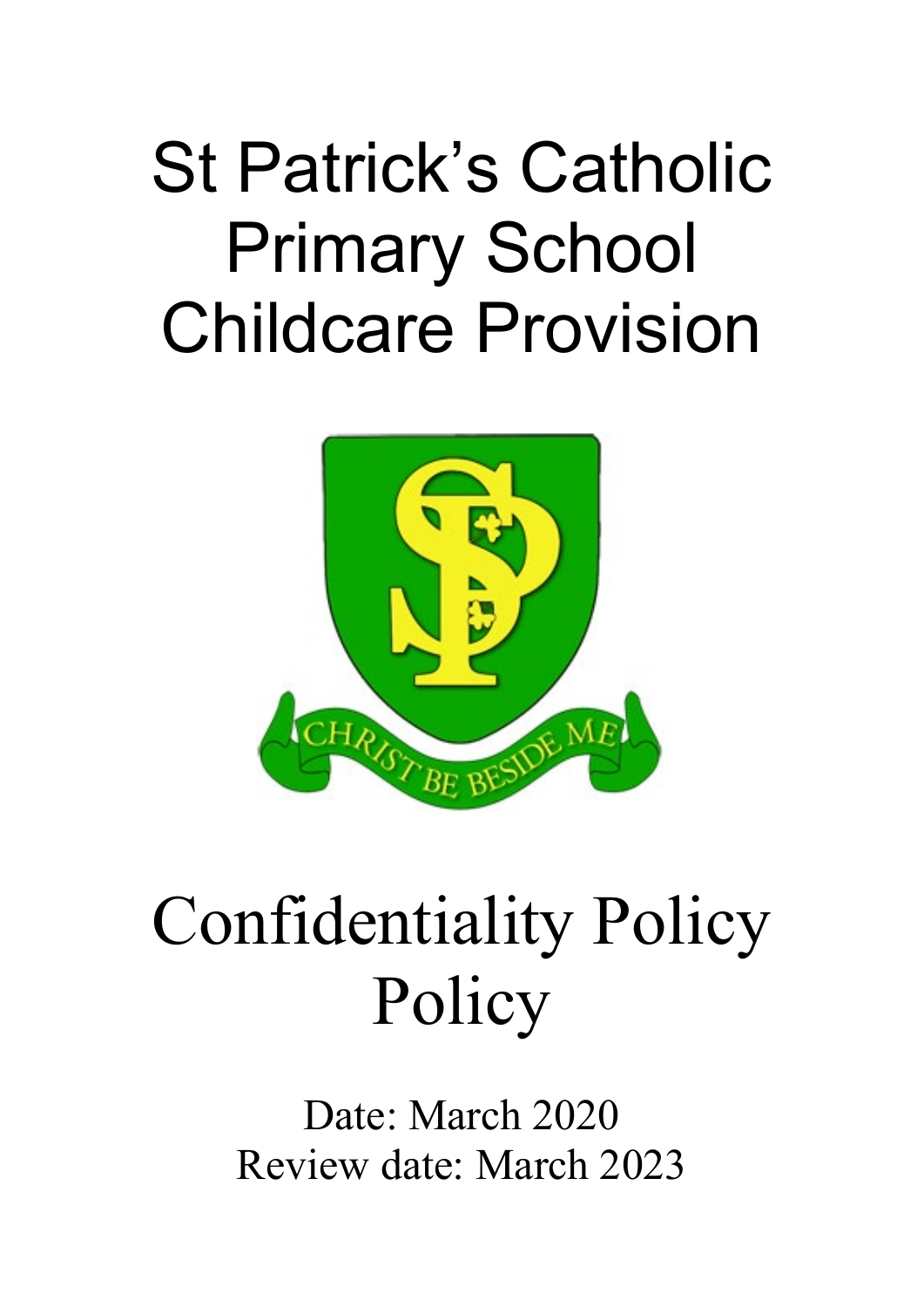# St Patrick's Catholic Primary School Childcare Provision



# Confidentiality Policy Policy

Date: March 2020 Review date: March 2023